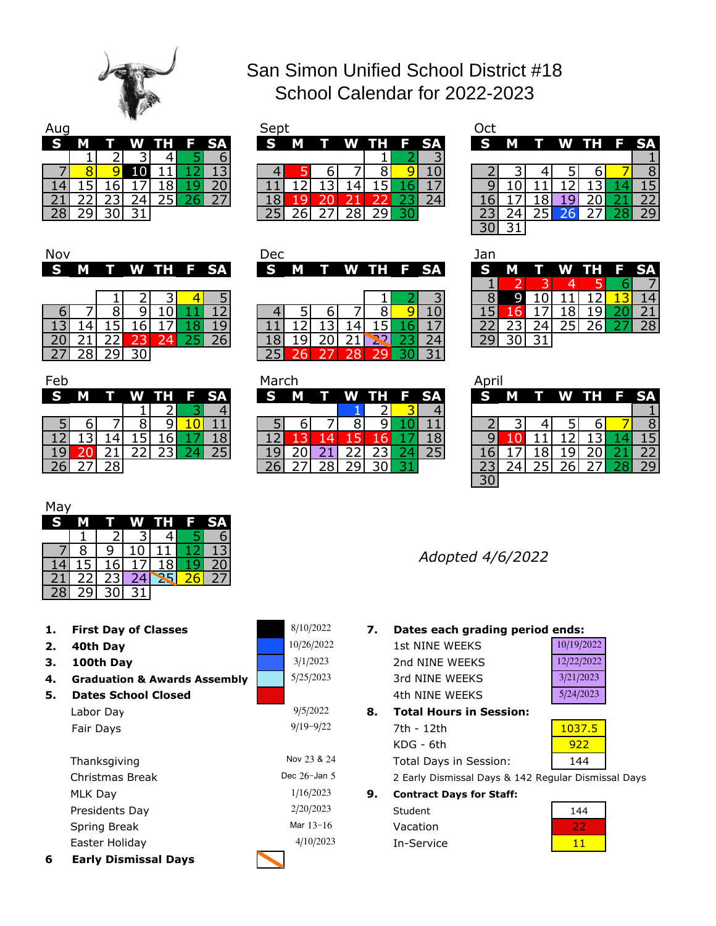

## San Simon Unified School District #18 School Calendar for 2022-2023

| Aug       |  | ----   |         |      | Sept     |   |            |      |      |  |
|-----------|--|--------|---------|------|----------|---|------------|------|------|--|
| <b>IS</b> |  | W      | n de la | F SA | <b>S</b> | М | <b>TIP</b> | W TH | F SA |  |
|           |  |        |         |      |          |   |            |      |      |  |
|           |  |        |         |      |          |   |            |      |      |  |
|           |  |        |         |      |          |   |            |      |      |  |
|           |  |        |         |      |          |   |            |      | 74   |  |
|           |  | $\sim$ |         |      |          |   |            |      |      |  |

| w  |   |   |     |      |           | <b>SED</b> |          |   |           |  | しじし      |   |  |             |    |
|----|---|---|-----|------|-----------|------------|----------|---|-----------|--|----------|---|--|-------------|----|
| S  | М | w | WH. | / F/ | <b>SA</b> | S          | <b>M</b> | т | W TH F SA |  | <b>S</b> | M |  | T W TH F SA |    |
|    |   |   |     |      |           |            |          |   |           |  |          |   |  |             |    |
|    |   |   |     |      |           |            |          |   |           |  |          |   |  |             |    |
|    |   |   |     |      |           |            |          |   |           |  |          |   |  |             |    |
| ۷. |   |   |     |      |           |            |          |   |           |  |          |   |  |             |    |
| ۷J |   |   |     |      |           |            |          |   |           |  |          |   |  |             | 29 |

| Oct |                 |    |                 |   |    |
|-----|-----------------|----|-----------------|---|----|
|     |                 |    | W TH            |   | SΔ |
|     |                 |    |                 |   |    |
|     |                 |    | 5               |   |    |
|     |                 |    |                 |   |    |
|     |                 | ч  |                 |   |    |
|     | $2\overline{5}$ | 26 | $\overline{27}$ | ۵ |    |
|     |                 |    |                 |   |    |

| Nov |   |        |  |      | Dec |   |  |             |  | Jan |
|-----|---|--------|--|------|-----|---|--|-------------|--|-----|
| l S | M | T W TH |  | F SA | S   | M |  | T W TH F SA |  | O   |
|     |   |        |  |      |     |   |  |             |  |     |
|     |   |        |  |      |     |   |  |             |  | Я   |
|     |   |        |  |      |     |   |  |             |  |     |
|     |   |        |  |      |     |   |  |             |  |     |
|     |   |        |  |      |     |   |  |             |  |     |
|     |   |        |  |      |     |   |  |             |  |     |

| Feb |   |   |   |     |    |
|-----|---|---|---|-----|----|
| G   |   |   |   | н   | SА |
|     |   |   |   | ر ر |    |
|     | ∍ |   | R | q   |    |
|     |   |   |   | 6   | 8  |
|     |   |   |   |     |    |
|     |   | 8 |   |     |    |

| $\cdot$ $\cdot$ |   |  |             |  | --- |  |                 |  | --- |   |  |             |    |
|-----------------|---|--|-------------|--|-----|--|-----------------|--|-----|---|--|-------------|----|
| S I             | M |  | T W TH F SA |  |     |  | S M T W TH F SA |  | S   | M |  | T W TH F SA |    |
|                 |   |  |             |  |     |  |                 |  |     |   |  |             |    |
|                 |   |  |             |  |     |  |                 |  |     |   |  |             |    |
|                 |   |  |             |  |     |  |                 |  |     |   |  |             |    |
|                 |   |  |             |  |     |  |                 |  |     |   |  |             | 28 |
|                 |   |  |             |  |     |  |                 |  |     |   |  |             |    |
|                 |   |  |             |  |     |  |                 |  |     |   |  |             |    |

| Feb |   |              |  |           | March |   |     |  |         | Apri          |   |  |             |    |
|-----|---|--------------|--|-----------|-------|---|-----|--|---------|---------------|---|--|-------------|----|
| S   | M | $\mathbf{T}$ |  | W TH F SA | S     | M | T W |  | TH F SA | S             | M |  | T W TH F SA |    |
|     |   |              |  |           |       |   |     |  |         |               |   |  |             |    |
|     |   |              |  |           |       |   |     |  |         |               |   |  |             |    |
|     |   |              |  |           |       |   |     |  |         |               |   |  |             |    |
|     |   |              |  |           |       |   |     |  |         |               |   |  |             |    |
|     |   | າດ           |  |           |       |   |     |  |         |               |   |  |             | つロ |
|     |   |              |  |           |       |   |     |  |         | $\sim$ $\sim$ |   |  |             |    |

| Jan |   |   |            |    |
|-----|---|---|------------|----|
|     |   |   | ĪI<br>86 H | SΑ |
|     |   | 4 |            |    |
| R   | ι |   |            |    |
| 45  |   | 8 |            |    |
| 22  | 4 | 5 | 26         | 28 |
|     |   |   |            |    |

| April |   |               |                 |                   |    |    |
|-------|---|---------------|-----------------|-------------------|----|----|
| G     | K |               | W TH            |                   | E. | SA |
|       |   |               |                 |                   |    |    |
|       |   |               |                 | h                 |    |    |
|       |   |               | $\overline{2}$  |                   |    |    |
|       |   | 8             |                 |                   |    | 22 |
|       |   | $\mathcal{P}$ | $\overline{26}$ | $2^{\frac{1}{2}}$ | 28 |    |
|       |   |               |                 |                   |    |    |

| May |  |   |                |   |    |
|-----|--|---|----------------|---|----|
|     |  | w | $\mathbf{T}$ H | Е | SA |
|     |  |   |                |   |    |
|     |  |   |                |   |    |
|     |  |   |                |   |    |
|     |  |   |                |   |    |
|     |  |   |                |   |    |

- **First Day of Classes**
- **2. 40th Day**
- **3. 100th Day**

**6**

- **4. Graduation & Awards Assembly**
- **5. Dates School Closed** Fair Days Labor Day

| 6 | <b>Early Dismissal Days</b> |                 |    |
|---|-----------------------------|-----------------|----|
|   | Easter Holiday              | 4/10/2023       |    |
|   | Spring Break                | Mar $13 - 16$   |    |
|   | Presidents Day              | 2/20/2023       |    |
|   | MLK Day                     | 1/16/2023       | 9. |
|   | Christmas Break             | Dec $26$ -Jan 5 |    |
|   | Thanksgiving                | Nov 23 & 24     |    |
|   |                             |                 |    |

| G               |    |                 |                 | н               |                 | SΑ              |
|-----------------|----|-----------------|-----------------|-----------------|-----------------|-----------------|
|                 |    |                 |                 | <u>21</u>       |                 |                 |
|                 |    |                 | $\overline{8}$  | 91              |                 | $\overline{1}$  |
| $\overline{12}$ |    |                 | 15              | 16              |                 | $\overline{18}$ |
|                 | 20 | $\mathbf{1}$    | $\overline{22}$ | $\overline{23}$ |                 |                 |
| $\overline{26}$ |    | $\overline{28}$ | $\overline{29}$ |                 | $\overline{31}$ |                 |
|                 |    |                 |                 |                 |                 |                 |

5/25/2023

3/1/2023 10/26/2022

8/10/2022

9/5/2022

9/19-9/22

*Adopted 4/6/2022*

**1. 7. Dates each grading period ends:**

| 1st NINE WEEKS | 10/19/2022 |
|----------------|------------|
| 2nd NINE WEEKS | 12/22/2022 |
| 3rd NINE WEEKS | 3/21/2023  |
| 4th NINF WFFKS | 5/24/2023  |
|                |            |

**8.** KDG - 6th Total Days in Session: **Total Hours in Session:** 7th - 12th 1037.5

922 144

2 Early Dismissal Days & 142 Regular Dismissal Days

Vacation **Contract Days for Staff:** Student

In-Service

| 144 |
|-----|
|     |
|     |